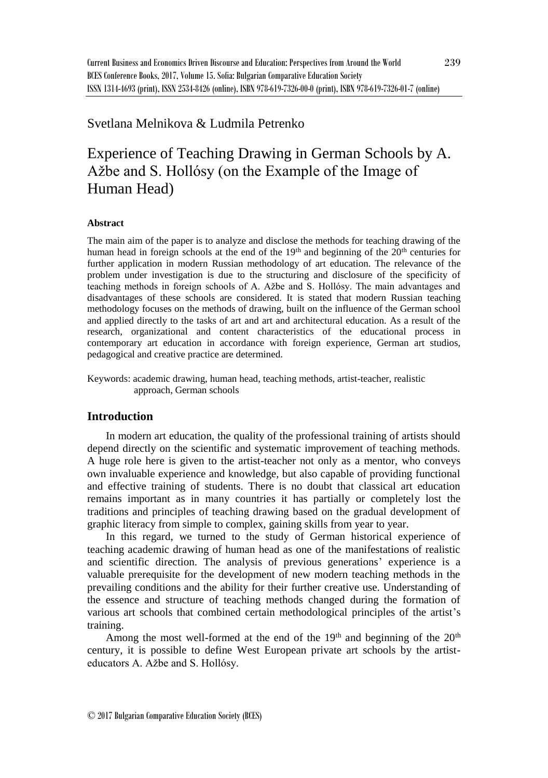## Svetlana Melnikova & Ludmila Petrenko

# Experience of Teaching Drawing in German Schools by A. Ažbe and S. Hollósy (on the Example of the Image of Human Head)

#### **Abstract**

The main aim of the paper is to analyze and disclose the methods for teaching drawing of the human head in foreign schools at the end of the  $19<sup>th</sup>$  and beginning of the  $20<sup>th</sup>$  centuries for further application in modern Russian methodology of art education. The relevance of the problem under investigation is due to the structuring and disclosure of the specificity of teaching methods in foreign schools of A. Ažbe and S. Hollósy. The main advantages and disadvantages of these schools are considered. It is stated that modern Russian teaching methodology focuses on the methods of drawing, built on the influence of the German school and applied directly to the tasks of art and art and architectural education. As a result of the research, organizational and content characteristics of the educational process in contemporary art education in accordance with foreign experience, German art studios, pedagogical and creative practice are determined.

Keywords: academic drawing, human head, teaching methods, artist-teacher, realistic approach, German schools

## **Introduction**

In modern art education, the quality of the professional training of artists should depend directly on the scientific and systematic improvement of teaching methods. A huge role here is given to the artist-teacher not only as a mentor, who conveys own invaluable experience and knowledge, but also capable of providing functional and effective training of students. There is no doubt that classical art education remains important as in many countries it has partially or completely lost the traditions and principles of teaching drawing based on the gradual development of graphic literacy from simple to complex, gaining skills from year to year.

In this regard, we turned to the study of German historical experience of teaching academic drawing of human head as one of the manifestations of realistic and scientific direction. The analysis of previous generations' experience is a valuable prerequisite for the development of new modern teaching methods in the prevailing conditions and the ability for their further creative use. Understanding of the essence and structure of teaching methods changed during the formation of various art schools that combined certain methodological principles of the artist's training.

Among the most well-formed at the end of the  $19<sup>th</sup>$  and beginning of the  $20<sup>th</sup>$ century, it is possible to define West European private art schools by the artisteducators A. Ažbe and S. Hollósy.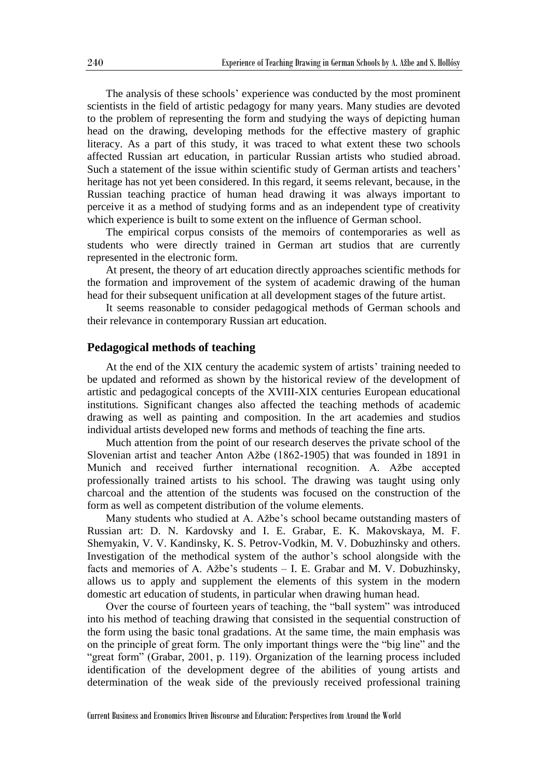The analysis of these schools' experience was conducted by the most prominent scientists in the field of artistic pedagogy for many years. Many studies are devoted to the problem of representing the form and studying the ways of depicting human head on the drawing, developing methods for the effective mastery of graphic literacy. As a part of this study, it was traced to what extent these two schools affected Russian art education, in particular Russian artists who studied abroad. Such a statement of the issue within scientific study of German artists and teachers' heritage has not yet been considered. In this regard, it seems relevant, because, in the Russian teaching practice of human head drawing it was always important to perceive it as a method of studying forms and as an independent type of creativity which experience is built to some extent on the influence of German school.

The empirical corpus consists of the memoirs of contemporaries as well as students who were directly trained in German art studios that are currently represented in the electronic form.

At present, the theory of art education directly approaches scientific methods for the formation and improvement of the system of academic drawing of the human head for their subsequent unification at all development stages of the future artist.

It seems reasonable to consider pedagogical methods of German schools and their relevance in contemporary Russian art education.

### **Pedagogical methods of teaching**

At the end of the XIX century the academic system of artists' training needed to be updated and reformed as shown by the historical review of the development of artistic and pedagogical concepts of the XVIII-XIX centuries European educational institutions. Significant changes also affected the teaching methods of academic drawing as well as painting and composition. In the art academies and studios individual artists developed new forms and methods of teaching the fine arts.

Much attention from the point of our research deserves the private school of the Slovenian artist and teacher Anton Ažbe (1862-1905) that was founded in 1891 in Munich and received further international recognition. A. Ažbe accepted professionally trained artists to his school. The drawing was taught using only charcoal and the attention of the students was focused on the construction of the form as well as competent distribution of the volume elements.

Many students who studied at A. Ažbe's school became outstanding masters of Russian art: D. N. Kardovsky and I. E. Grabar, E. K. Makovskaya, M. F. Shemyakin, V. V. Kandinsky, K. S. Petrov-Vodkin, M. V. Dobuzhinsky and others. Investigation of the methodical system of the author's school alongside with the facts and memories of A. Ažbe's students – I. E. Grabar and M. V. Dobuzhinsky, allows us to apply and supplement the elements of this system in the modern domestic art education of students, in particular when drawing human head.

Over the course of fourteen years of teaching, the "ball system" was introduced into his method of teaching drawing that consisted in the sequential construction of the form using the basic tonal gradations. At the same time, the main emphasis was on the principle of great form. The only important things were the "big line" and the "great form" (Grabar, 2001, p. 119). Organization of the learning process included identification of the development degree of the abilities of young artists and determination of the weak side of the previously received professional training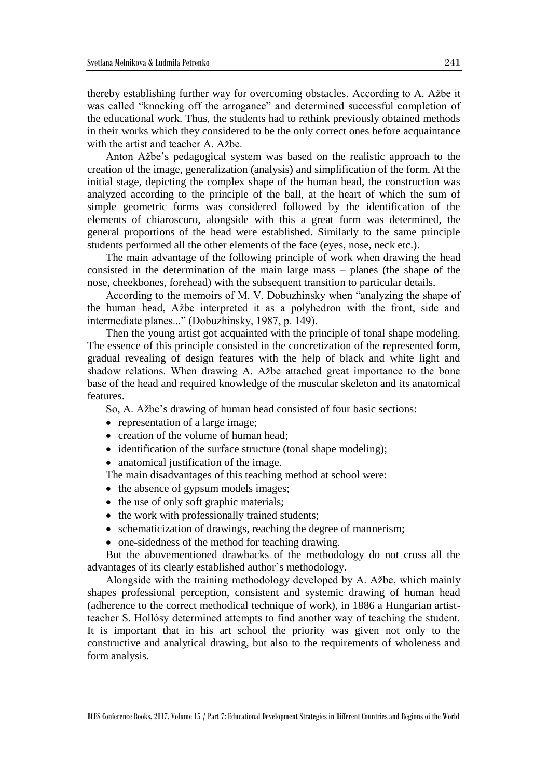thereby establishing further way for overcoming obstacles. According to A. Ažbe it was called "knocking off the arrogance" and determined successful completion of the educational work. Thus, the students had to rethink previously obtained methods in their works which they considered to be the only correct ones before acquaintance with the artist and teacher A. Ažbe.

Anton Ažbe's pedagogical system was based on the realistic approach to the creation of the image, generalization (analysis) and simplification of the form. At the initial stage, depicting the complex shape of the human head, the construction was analyzed according to the principle of the ball, at the heart of which the sum of simple geometric forms was considered followed by the identification of the elements of chiaroscuro, alongside with this a great form was determined, the general proportions of the head were established. Similarly to the same principle students performed all the other elements of the face (eyes, nose, neck etc.).

The main advantage of the following principle of work when drawing the head consisted in the determination of the main large mass – planes (the shape of the nose, cheekbones, forehead) with the subsequent transition to particular details.

According to the memoirs of M. V. Dobuzhinsky when "analyzing the shape of the human head, Ažbe interpreted it as a polyhedron with the front, side and intermediate planes..." (Dobuzhinsky, 1987, p. 149).

Then the young artist got acquainted with the principle of tonal shape modeling. The essence of this principle consisted in the concretization of the represented form, gradual revealing of design features with the help of black and white light and shadow relations. When drawing A. Ažbe attached great importance to the bone base of the head and required knowledge of the muscular skeleton and its anatomical features.

So, A. Ažbe's drawing of human head consisted of four basic sections:

- representation of a large image;
- creation of the volume of human head:
- identification of the surface structure (tonal shape modeling);
- anatomical justification of the image.

The main disadvantages of this teaching method at school were:

- the absence of gypsum models images;
- the use of only soft graphic materials;
- the work with professionally trained students;
- schematicization of drawings, reaching the degree of mannerism;
- one-sidedness of the method for teaching drawing.

But the abovementioned drawbacks of the methodology do not cross all the advantages of its clearly established author`s methodology.

Alongside with the training methodology developed by A. Ažbe, which mainly shapes professional perception, consistent and systemic drawing of human head (adherence to the correct methodical technique of work), in 1886 a Hungarian artistteacher S. Hollósy determined attempts to find another way of teaching the student. It is important that in his art school the priority was given not only to the constructive and analytical drawing, but also to the requirements of wholeness and form analysis.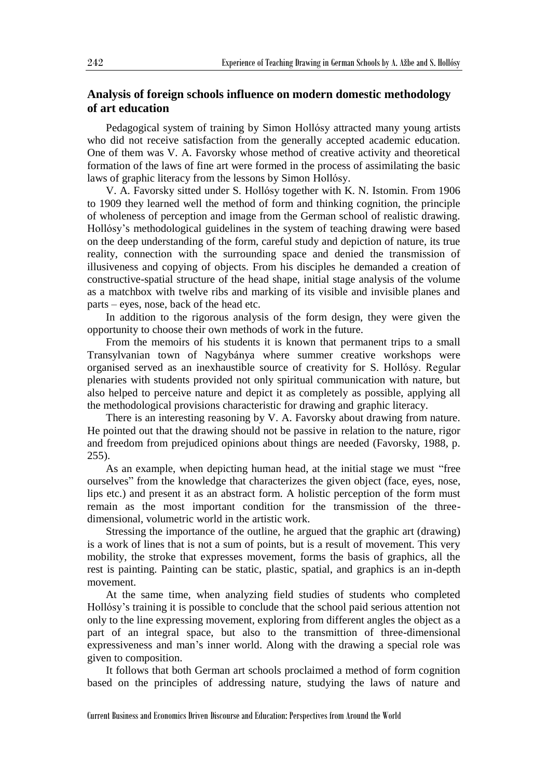## **Analysis of foreign schools influence on modern domestic methodology of art education**

Pedagogical system of training by Simon Hollósy attracted many young artists who did not receive satisfaction from the generally accepted academic education. One of them was V. A. Favorsky whose method of creative activity and theoretical formation of the laws of fine art were formed in the process of assimilating the basic laws of graphic literacy from the lessons by Simon Hollósy.

V. A. Favorsky sitted under S. Hollósy together with K. N. Istomin. From 1906 to 1909 they learned well the method of form and thinking cognition, the principle of wholeness of perception and image from the German school of realistic drawing. Hollósy's methodological guidelines in the system of teaching drawing were based on the deep understanding of the form, careful study and depiction of nature, its true reality, connection with the surrounding space and denied the transmission of illusiveness and copying of objects. From his disciples he demanded a creation of constructive-spatial structure of the head shape, initial stage analysis of the volume as a matchbox with twelve ribs and marking of its visible and invisible planes and parts – eyes, nose, back of the head etc.

In addition to the rigorous analysis of the form design, they were given the opportunity to choose their own methods of work in the future.

From the memoirs of his students it is known that permanent trips to a small [Transylvanian](http://www.lingvo.ua/ru/Search/Translate/GlossaryItemExtraInfo?text=%d0%a2%d1%80%d0%b0%d0%bd%d1%81%d0%b8%d0%bb%d1%8c%d0%b2%d0%b0%d0%bd%d0%b8%d1%8f&translation=Transylvania&srcLang=ru&destLang=en) town of Nagybánya where summer creative workshops were organised served as an inexhaustible source of creativity for S. Hollósy. Regular plenaries with students provided not only spiritual communication with nature, but also helped to perceive nature and depict it as completely as possible, applying all the methodological provisions characteristic for drawing and graphic literacy.

There is an interesting reasoning by V. A. Favorsky about drawing from nature. He pointed out that the drawing should not be passive in relation to the nature, rigor and freedom from prejudiced opinions about things are needed (Favorsky, 1988, p. 255).

As an example, when depicting human head, at the initial stage we must "free ourselves" from the knowledge that characterizes the given object (face, eyes, nose, lips etc.) and present it as an abstract form. A holistic perception of the form must remain as the most important condition for the transmission of the threedimensional, volumetric world in the artistic work.

Stressing the importance of the outline, he argued that the graphic art (drawing) is a work of lines that is not a sum of points, but is a result of movement. This very mobility, the stroke that expresses movement, forms the basis of graphics, all the rest is painting. Painting can be static, plastic, spatial, and graphics is an in-depth movement.

At the same time, when analyzing field studies of students who completed Hollósy's training it is possible to conclude that the school paid serious attention not only to the line expressing movement, exploring from different angles the object as a part of an integral space, but also to the transmittion of three-dimensional expressiveness and man's inner world. Along with the drawing a special role was given to composition.

It follows that both German art schools proclaimed a method of form cognition based on the principles of addressing nature, studying the laws of nature and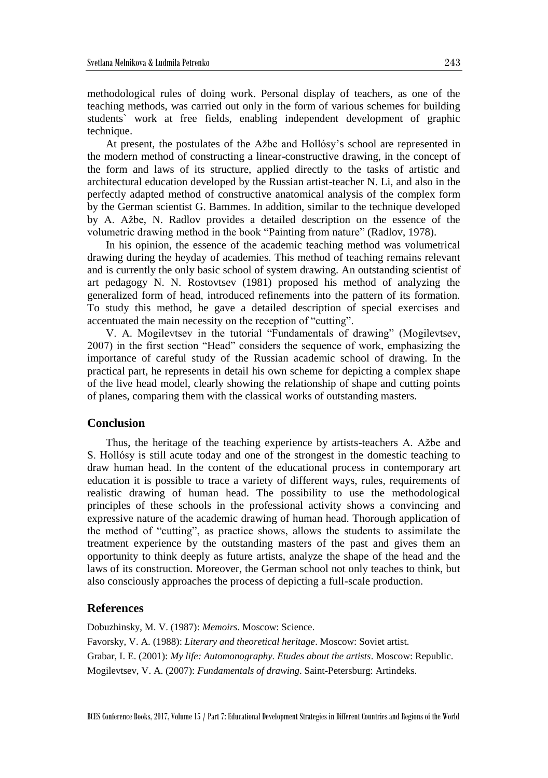methodological rules of doing work. Personal display of teachers, as one of the teaching methods, was carried out only in the form of various schemes for building students` work at free fields, enabling independent development of graphic technique.

At present, the postulates of the Ažbe and Hollósy's school are represented in the modern method of constructing a linear-constructive drawing, in the concept of the form and laws of its structure, applied directly to the tasks of artistic and architectural education developed by the Russian artist-teacher N. Li, and also in the perfectly adapted method of constructive anatomical analysis of the complex form by the German scientist G. Bammes. In addition, similar to the technique developed by A. Ažbe, N. Radlov provides a detailed description on the essence of the volumetric drawing method in the book "Painting from nature" (Radlov, 1978).

In his opinion, the essence of the academic teaching method was volumetrical drawing during the heyday of academies. This method of teaching remains relevant and is currently the only basic school of system drawing. An outstanding scientist of art pedagogy N. N. Rostovtsev (1981) proposed his method of analyzing the generalized form of head, introduced refinements into the pattern of its formation. To study this method, he gave a detailed description of special exercises and accentuated the main necessity on the reception of "cutting".

V. A. Mogilevtsev in the tutorial "Fundamentals of drawing" (Mogilevtsev, 2007) in the first section "Head" considers the sequence of work, emphasizing the importance of careful study of the Russian academic school of drawing. In the practical part, he represents in detail his own scheme for depicting a complex shape of the live head model, clearly showing the relationship of shape and cutting points of planes, comparing them with the classical works of outstanding masters.

### **Conclusion**

Thus, the heritage of the teaching experience by artists-teachers A. Ažbe and S. Hollósy is still acute today and one of the strongest in the domestic teaching to draw human head. In the content of the educational process in contemporary art education it is possible to trace a variety of different ways, rules, requirements of realistic drawing of human head. The possibility to use the methodological principles of these schools in the professional activity shows a convincing and expressive nature of the academic drawing of human head. Thorough application of the method of "cutting", as practice shows, allows the students to assimilate the treatment experience by the outstanding masters of the past and gives them an opportunity to think deeply as future artists, analyze the shape of the head and the laws of its construction. Moreover, the German school not only teaches to think, but also consciously approaches the process of depicting a full-scale production.

## **References**

Dobuzhinsky, M. V. (1987): *Memoirs*. Moscow: Science. Favorsky, V. A. (1988): *Literary and theoretical heritage*. Moscow: Soviet artist. Grabar, I. E. (2001): *My life: Automonography. Etudes about the artists*. Moscow: Republic. Mogilevtsev, V. A. (2007): *Fundamentals of drawing*. Saint-Petersburg: Artindeks.